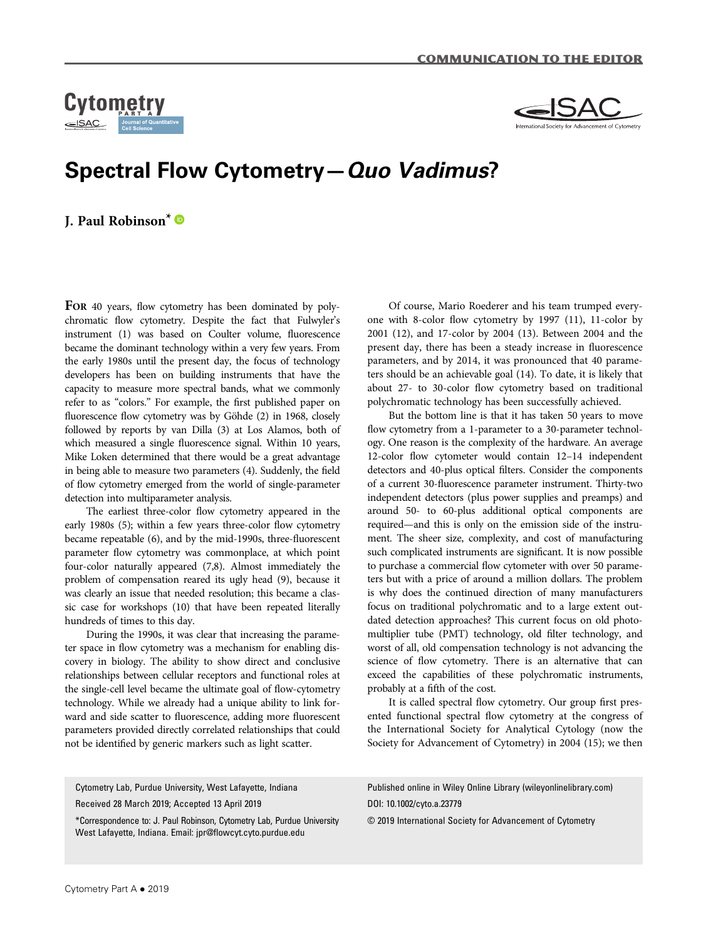



## Spectral Flow Cytometry—Quo Vadimus?

J. Paul Robinson\*

FOR 40 years, flow cytometry has been dominated by polychromatic flow cytometry. Despite the fact that Fulwyler's instrument (1) was based on Coulter volume, fluorescence became the dominant technology within a very few years. From the early 1980s until the present day, the focus of technology developers has been on building instruments that have the capacity to measure more spectral bands, what we commonly refer to as "colors." For example, the first published paper on fluorescence flow cytometry was by Göhde (2) in 1968, closely followed by reports by van Dilla (3) at Los Alamos, both of which measured a single fluorescence signal. Within 10 years, Mike Loken determined that there would be a great advantage in being able to measure two parameters (4). Suddenly, the field of flow cytometry emerged from the world of single-parameter detection into multiparameter analysis.

The earliest three-color flow cytometry appeared in the early 1980s (5); within a few years three-color flow cytometry became repeatable (6), and by the mid-1990s, three-fluorescent parameter flow cytometry was commonplace, at which point four-color naturally appeared (7,8). Almost immediately the problem of compensation reared its ugly head (9), because it was clearly an issue that needed resolution; this became a classic case for workshops (10) that have been repeated literally hundreds of times to this day.

During the 1990s, it was clear that increasing the parameter space in flow cytometry was a mechanism for enabling discovery in biology. The ability to show direct and conclusive relationships between cellular receptors and functional roles at the single-cell level became the ultimate goal of flow-cytometry technology. While we already had a unique ability to link forward and side scatter to fluorescence, adding more fluorescent parameters provided directly correlated relationships that could not be identified by generic markers such as light scatter.

Of course, Mario Roederer and his team trumped everyone with 8-color flow cytometry by 1997 (11), 11-color by 2001 (12), and 17-color by 2004 (13). Between 2004 and the present day, there has been a steady increase in fluorescence parameters, and by 2014, it was pronounced that 40 parameters should be an achievable goal (14). To date, it is likely that about 27- to 30-color flow cytometry based on traditional polychromatic technology has been successfully achieved.

But the bottom line is that it has taken 50 years to move flow cytometry from a 1-parameter to a 30-parameter technology. One reason is the complexity of the hardware. An average 12-color flow cytometer would contain 12–14 independent detectors and 40-plus optical filters. Consider the components of a current 30-fluorescence parameter instrument. Thirty-two independent detectors (plus power supplies and preamps) and around 50- to 60-plus additional optical components are required—and this is only on the emission side of the instrument. The sheer size, complexity, and cost of manufacturing such complicated instruments are significant. It is now possible to purchase a commercial flow cytometer with over 50 parameters but with a price of around a million dollars. The problem is why does the continued direction of many manufacturers focus on traditional polychromatic and to a large extent outdated detection approaches? This current focus on old photomultiplier tube (PMT) technology, old filter technology, and worst of all, old compensation technology is not advancing the science of flow cytometry. There is an alternative that can exceed the capabilities of these polychromatic instruments, probably at a fifth of the cost.

It is called spectral flow cytometry. Our group first presented functional spectral flow cytometry at the congress of the International Society for Analytical Cytology (now the Society for Advancement of Cytometry) in 2004 (15); we then

Cytometry Lab, Purdue University, West Lafayette, Indiana

Received 28 March 2019; Accepted 13 April 2019

\*Correspondence to: J. Paul Robinson, Cytometry Lab, Purdue University West Lafayette, Indiana. Email: jpr@fl[owcyt.cyto.purdue.edu](mailto:jpr@flowcyt.cyto.purdue.edu)

Published online in Wiley Online Library ([wileyonlinelibrary.com\)](http://wileyonlinelibrary.com) DOI: 10.1002/cyto.a.23779

© 2019 International Society for Advancement of Cytometry